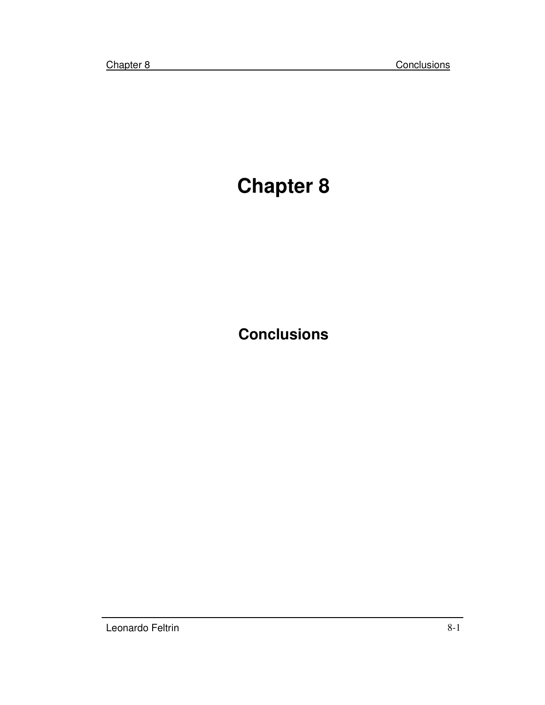# **Chapter 8**

## **Conclusions**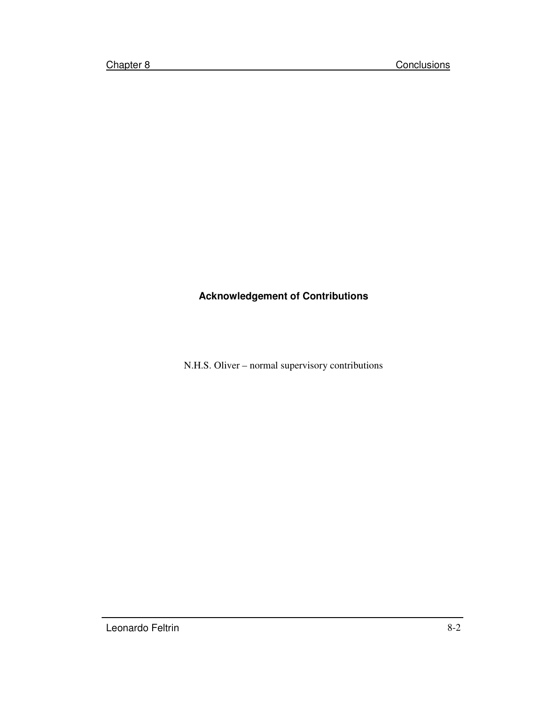### **Acknowledgement of Contributions**

N.H.S. Oliver – normal supervisory contributions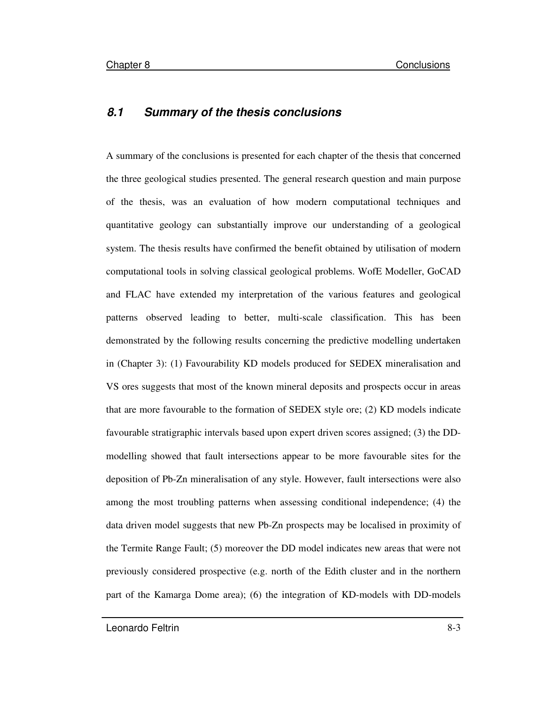#### **8.1 Summary of the thesis conclusions**

A summary of the conclusions is presented for each chapter of the thesis that concerned the three geological studies presented. The general research question and main purpose of the thesis, was an evaluation of how modern computational techniques and quantitative geology can substantially improve our understanding of a geological system. The thesis results have confirmed the benefit obtained by utilisation of modern computational tools in solving classical geological problems. WofE Modeller, GoCAD and FLAC have extended my interpretation of the various features and geological patterns observed leading to better, multi-scale classification. This has been demonstrated by the following results concerning the predictive modelling undertaken in (Chapter 3): (1) Favourability KD models produced for SEDEX mineralisation and VS ores suggests that most of the known mineral deposits and prospects occur in areas that are more favourable to the formation of SEDEX style ore; (2) KD models indicate favourable stratigraphic intervals based upon expert driven scores assigned; (3) the DDmodelling showed that fault intersections appear to be more favourable sites for the deposition of Pb-Zn mineralisation of any style. However, fault intersections were also among the most troubling patterns when assessing conditional independence; (4) the data driven model suggests that new Pb-Zn prospects may be localised in proximity of the Termite Range Fault; (5) moreover the DD model indicates new areas that were not previously considered prospective (e.g. north of the Edith cluster and in the northern part of the Kamarga Dome area); (6) the integration of KD-models with DD-models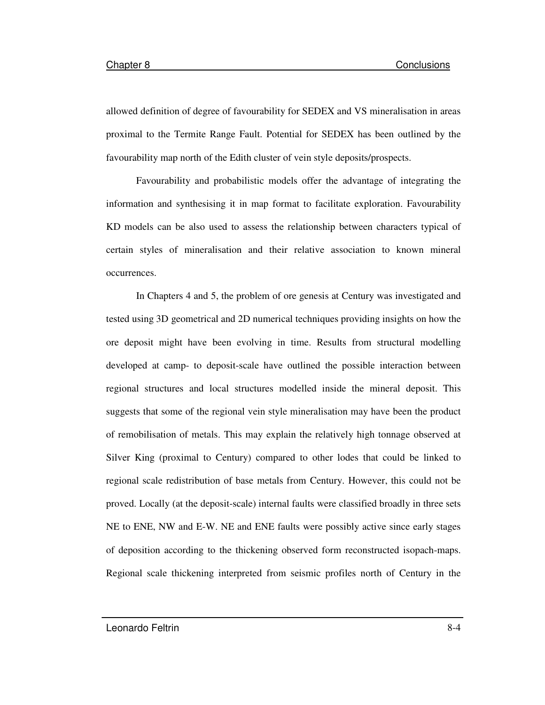allowed definition of degree of favourability for SEDEX and VS mineralisation in areas proximal to the Termite Range Fault. Potential for SEDEX has been outlined by the favourability map north of the Edith cluster of vein style deposits/prospects.

Favourability and probabilistic models offer the advantage of integrating the information and synthesising it in map format to facilitate exploration. Favourability KD models can be also used to assess the relationship between characters typical of certain styles of mineralisation and their relative association to known mineral occurrences.

In Chapters 4 and 5, the problem of ore genesis at Century was investigated and tested using 3D geometrical and 2D numerical techniques providing insights on how the ore deposit might have been evolving in time. Results from structural modelling developed at camp- to deposit-scale have outlined the possible interaction between regional structures and local structures modelled inside the mineral deposit. This suggests that some of the regional vein style mineralisation may have been the product of remobilisation of metals. This may explain the relatively high tonnage observed at Silver King (proximal to Century) compared to other lodes that could be linked to regional scale redistribution of base metals from Century. However, this could not be proved. Locally (at the deposit-scale) internal faults were classified broadly in three sets NE to ENE, NW and E-W. NE and ENE faults were possibly active since early stages of deposition according to the thickening observed form reconstructed isopach-maps. Regional scale thickening interpreted from seismic profiles north of Century in the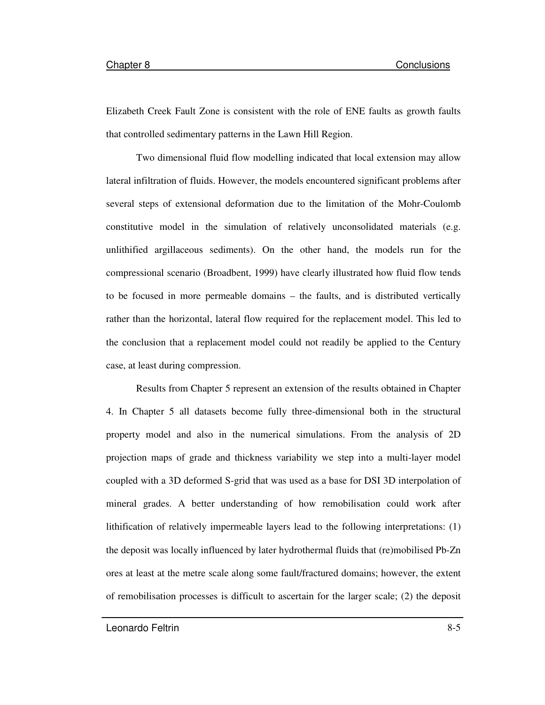Elizabeth Creek Fault Zone is consistent with the role of ENE faults as growth faults that controlled sedimentary patterns in the Lawn Hill Region.

Two dimensional fluid flow modelling indicated that local extension may allow lateral infiltration of fluids. However, the models encountered significant problems after several steps of extensional deformation due to the limitation of the Mohr-Coulomb constitutive model in the simulation of relatively unconsolidated materials (e.g. unlithified argillaceous sediments). On the other hand, the models run for the compressional scenario (Broadbent, 1999) have clearly illustrated how fluid flow tends to be focused in more permeable domains – the faults, and is distributed vertically rather than the horizontal, lateral flow required for the replacement model. This led to the conclusion that a replacement model could not readily be applied to the Century case, at least during compression.

Results from Chapter 5 represent an extension of the results obtained in Chapter 4. In Chapter 5 all datasets become fully three-dimensional both in the structural property model and also in the numerical simulations. From the analysis of 2D projection maps of grade and thickness variability we step into a multi-layer model coupled with a 3D deformed S-grid that was used as a base for DSI 3D interpolation of mineral grades. A better understanding of how remobilisation could work after lithification of relatively impermeable layers lead to the following interpretations: (1) the deposit was locally influenced by later hydrothermal fluids that (re)mobilised Pb-Zn ores at least at the metre scale along some fault/fractured domains; however, the extent of remobilisation processes is difficult to ascertain for the larger scale; (2) the deposit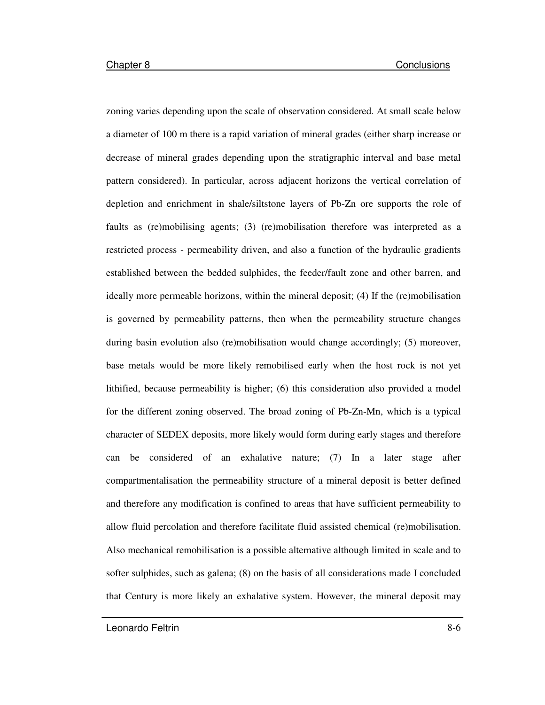zoning varies depending upon the scale of observation considered. At small scale below a diameter of 100 m there is a rapid variation of mineral grades (either sharp increase or decrease of mineral grades depending upon the stratigraphic interval and base metal pattern considered). In particular, across adjacent horizons the vertical correlation of depletion and enrichment in shale/siltstone layers of Pb-Zn ore supports the role of faults as (re)mobilising agents; (3) (re)mobilisation therefore was interpreted as a restricted process - permeability driven, and also a function of the hydraulic gradients established between the bedded sulphides, the feeder/fault zone and other barren, and ideally more permeable horizons, within the mineral deposit; (4) If the (re)mobilisation is governed by permeability patterns, then when the permeability structure changes during basin evolution also (re)mobilisation would change accordingly; (5) moreover, base metals would be more likely remobilised early when the host rock is not yet lithified, because permeability is higher; (6) this consideration also provided a model for the different zoning observed. The broad zoning of Pb-Zn-Mn, which is a typical character of SEDEX deposits, more likely would form during early stages and therefore can be considered of an exhalative nature; (7) In a later stage after compartmentalisation the permeability structure of a mineral deposit is better defined and therefore any modification is confined to areas that have sufficient permeability to allow fluid percolation and therefore facilitate fluid assisted chemical (re)mobilisation. Also mechanical remobilisation is a possible alternative although limited in scale and to softer sulphides, such as galena; (8) on the basis of all considerations made I concluded that Century is more likely an exhalative system. However, the mineral deposit may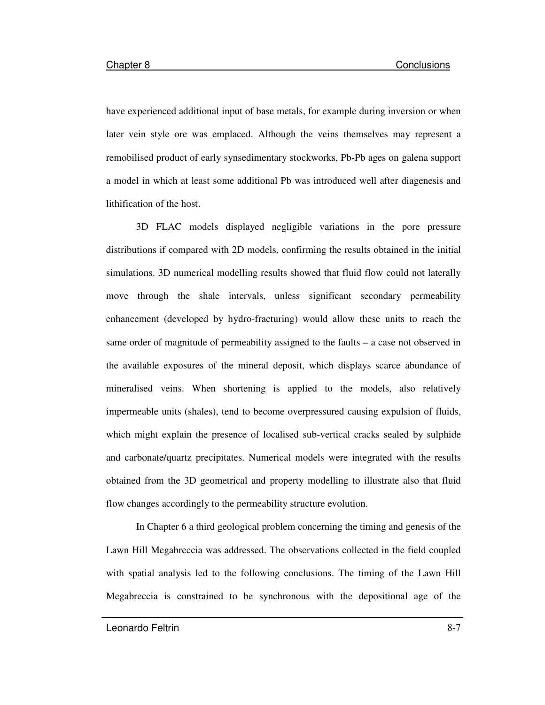have experienced additional input of base metals, for example during inversion or when later vein style ore was emplaced. Although the veins themselves may represent a remobilised product of early synsedimentary stockworks, Pb-Pb ages on galena support a model in which at least some additional Pb was introduced well after diagenesis and lithification of the host.

3D FLAC models displayed negligible variations in the pore pressure distributions if compared with 2D models, confirming the results obtained in the initial simulations. 3D numerical modelling results showed that fluid flow could not laterally move through the shale intervals, unless significant secondary permeability enhancement (developed by hydro-fracturing) would allow these units to reach the same order of magnitude of permeability assigned to the faults – a case not observed in the available exposures of the mineral deposit, which displays scarce abundance of mineralised veins. When shortening is applied to the models, also relatively impermeable units (shales), tend to become overpressured causing expulsion of fluids, which might explain the presence of localised sub-vertical cracks sealed by sulphide and carbonate/quartz precipitates. Numerical models were integrated with the results obtained from the 3D geometrical and property modelling to illustrate also that fluid flow changes accordingly to the permeability structure evolution.

In Chapter 6 a third geological problem concerning the timing and genesis of the Lawn Hill Megabreccia was addressed. The observations collected in the field coupled with spatial analysis led to the following conclusions. The timing of the Lawn Hill Megabreccia is constrained to be synchronous with the depositional age of the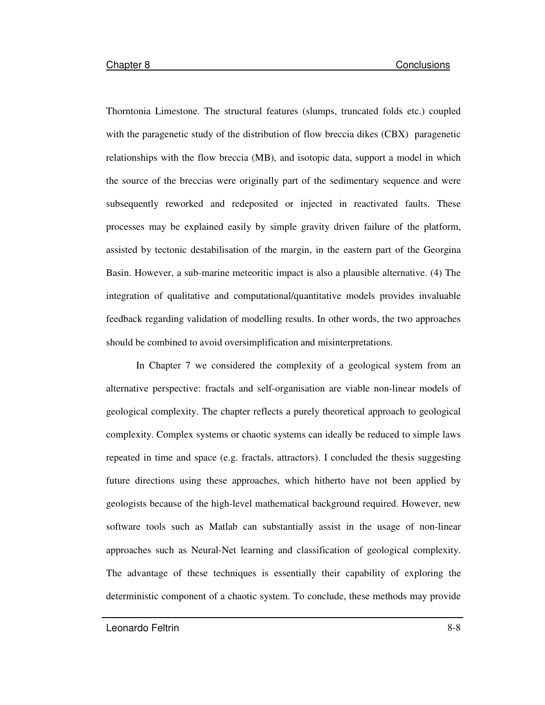Thorntonia Limestone. The structural features (slumps, truncated folds etc.) coupled with the paragenetic study of the distribution of flow breccia dikes (CBX) paragenetic relationships with the flow breccia (MB), and isotopic data, support a model in which the source of the breccias were originally part of the sedimentary sequence and were subsequently reworked and redeposited or injected in reactivated faults. These processes may be explained easily by simple gravity driven failure of the platform, assisted by tectonic destabilisation of the margin, in the eastern part of the Georgina Basin. However, a sub-marine meteoritic impact is also a plausible alternative. (4) The integration of qualitative and computational/quantitative models provides invaluable feedback regarding validation of modelling results. In other words, the two approaches should be combined to avoid oversimplification and misinterpretations.

 In Chapter 7 we considered the complexity of a geological system from an alternative perspective: fractals and self-organisation are viable non-linear models of geological complexity. The chapter reflects a purely theoretical approach to geological complexity. Complex systems or chaotic systems can ideally be reduced to simple laws repeated in time and space (e.g. fractals, attractors). I concluded the thesis suggesting future directions using these approaches, which hitherto have not been applied by geologists because of the high-level mathematical background required. However, new software tools such as Matlab can substantially assist in the usage of non-linear approaches such as Neural-Net learning and classification of geological complexity. The advantage of these techniques is essentially their capability of exploring the deterministic component of a chaotic system. To conclude, these methods may provide